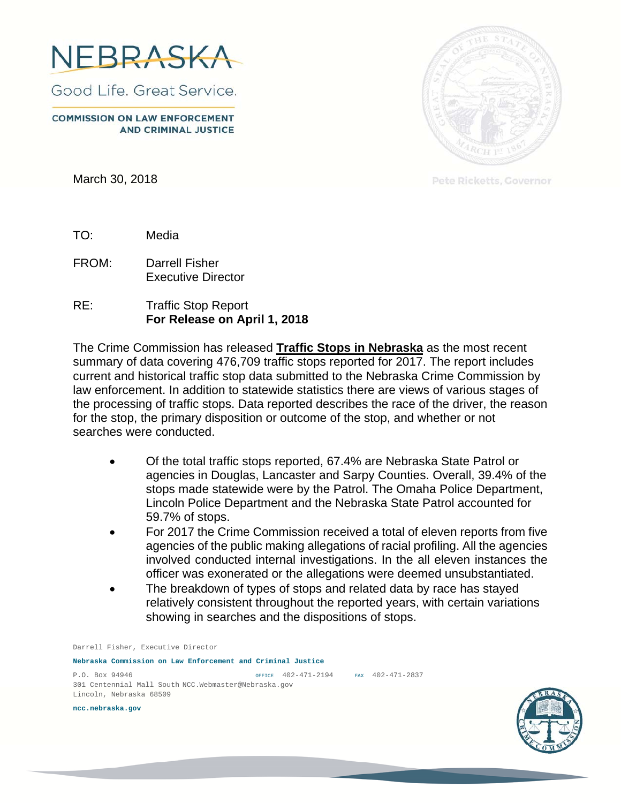

Good Life, Great Service.

**COMMISSION ON LAW ENFORCEMENT AND CRIMINAL JUSTICE** 

March 30, 2018



Pete Ricketts, Governor

TO: Media

FROM: Darrell Fisher Executive Director

RE: Traffic Stop Report **For Release on April 1, 2018** 

The Crime Commission has released **Traffic Stops in Nebraska** as the most recent summary of data covering 476,709 traffic stops reported for 2017. The report includes current and historical traffic stop data submitted to the Nebraska Crime Commission by law enforcement. In addition to statewide statistics there are views of various stages of the processing of traffic stops. Data reported describes the race of the driver, the reason for the stop, the primary disposition or outcome of the stop, and whether or not searches were conducted.

- Of the total traffic stops reported, 67.4% are Nebraska State Patrol or agencies in Douglas, Lancaster and Sarpy Counties. Overall, 39.4% of the stops made statewide were by the Patrol. The Omaha Police Department, Lincoln Police Department and the Nebraska State Patrol accounted for 59.7% of stops.
- For 2017 the Crime Commission received a total of eleven reports from five agencies of the public making allegations of racial profiling. All the agencies involved conducted internal investigations. In the all eleven instances the officer was exonerated or the allegations were deemed unsubstantiated.
- The breakdown of types of stops and related data by race has stayed relatively consistent throughout the reported years, with certain variations showing in searches and the dispositions of stops.

Darrell Fisher, Executive Director

**Nebraska Commission on Law Enforcement and Criminal Justice** 

P.O. Box 94946 OFFICE 402-471-2194 FAX 402-471-2837 301 Centennial Mall South NCC.Webmaster@Nebraska.gov Lincoln, Nebraska 68509